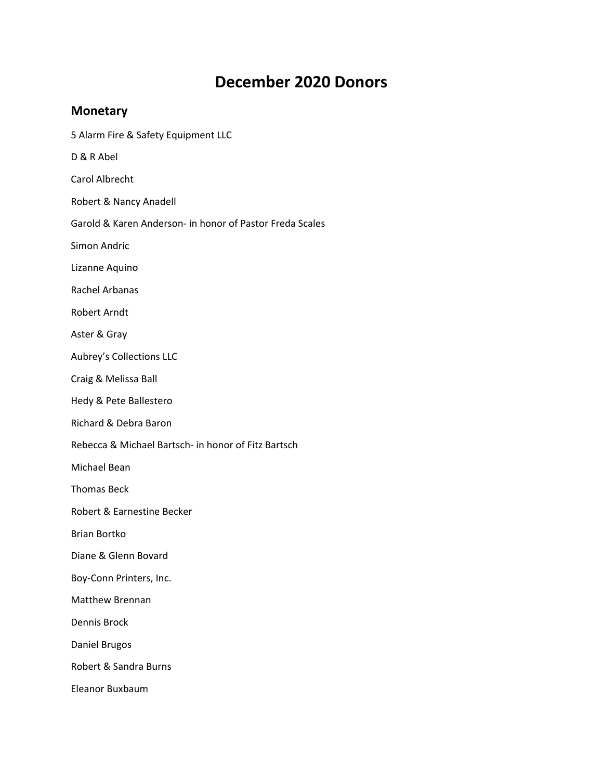## **December 2020 Donors**

## **Monetary**

- 5 Alarm Fire & Safety Equipment LLC
- D & R Abel
- Carol Albrecht
- Robert & Nancy Anadell
- Garold & Karen Anderson‐ in honor of Pastor Freda Scales
- Simon Andric
- Lizanne Aquino
- Rachel Arbanas
- Robert Arndt
- Aster & Gray
- Aubrey's Collections LLC
- Craig & Melissa Ball
- Hedy & Pete Ballestero
- Richard & Debra Baron
- Rebecca & Michael Bartsch‐ in honor of Fitz Bartsch
- Michael Bean
- Thomas Beck
- Robert & Earnestine Becker
- Brian Bortko
- Diane & Glenn Bovard
- Boy‐Conn Printers, Inc.
- Matthew Brennan
- Dennis Brock
- Daniel Brugos
- Robert & Sandra Burns
- Eleanor Buxbaum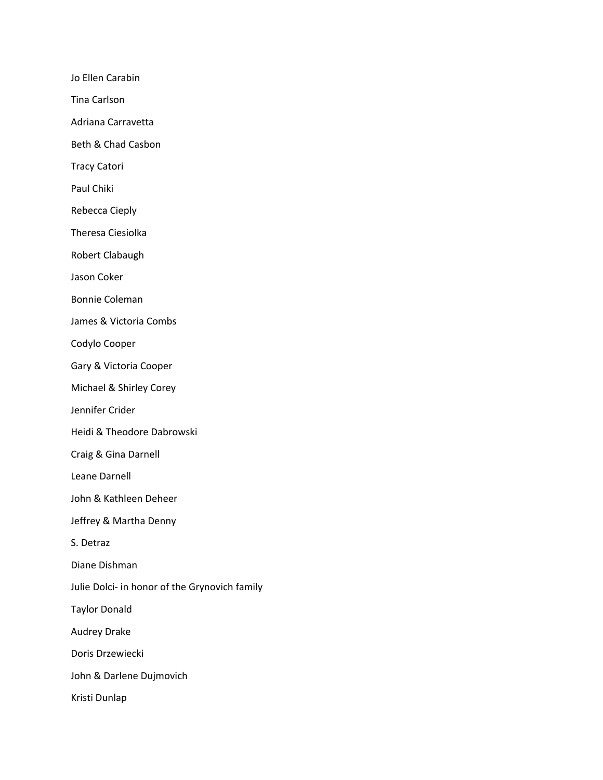Jo Ellen Carabin

Tina Carlson

Adriana Carravetta

Beth & Chad Casbon

Tracy Catori

Paul Chiki

Rebecca Cieply

Theresa Ciesiolka

Robert Clabaugh

Jason Coker

Bonnie Coleman

James & Victoria Combs

Codylo Cooper

Gary & Victoria Cooper

Michael & Shirley Corey

Jennifer Crider

Heidi & Theodore Dabrowski

Craig & Gina Darnell

Leane Darnell

John & Kathleen Deheer

Jeffrey & Martha Denny

S. Detraz

Diane Dishman

Julie Dolci‐ in honor of the Grynovich family

Taylor Donald

Audrey Drake

Doris Drzewiecki

John & Darlene Dujmovich

Kristi Dunlap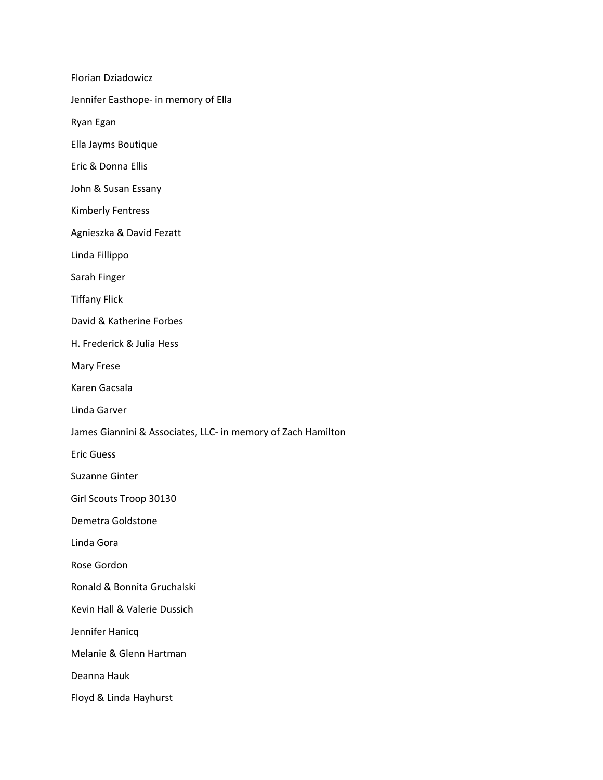Florian Dziadowicz Jennifer Easthope‐ in memory of Ella Ryan Egan Ella Jayms Boutique Eric & Donna Ellis John & Susan Essany Kimberly Fentress Agnieszka & David Fezatt Linda Fillippo Sarah Finger Tiffany Flick David & Katherine Forbes H. Frederick & Julia Hess Mary Frese Karen Gacsala Linda Garver James Giannini & Associates, LLC‐ in memory of Zach Hamilton Eric Guess Suzanne Ginter Girl Scouts Troop 30130 Demetra Goldstone Linda Gora Rose Gordon Ronald & Bonnita Gruchalski Kevin Hall & Valerie Dussich Jennifer Hanicq Melanie & Glenn Hartman Deanna Hauk Floyd & Linda Hayhurst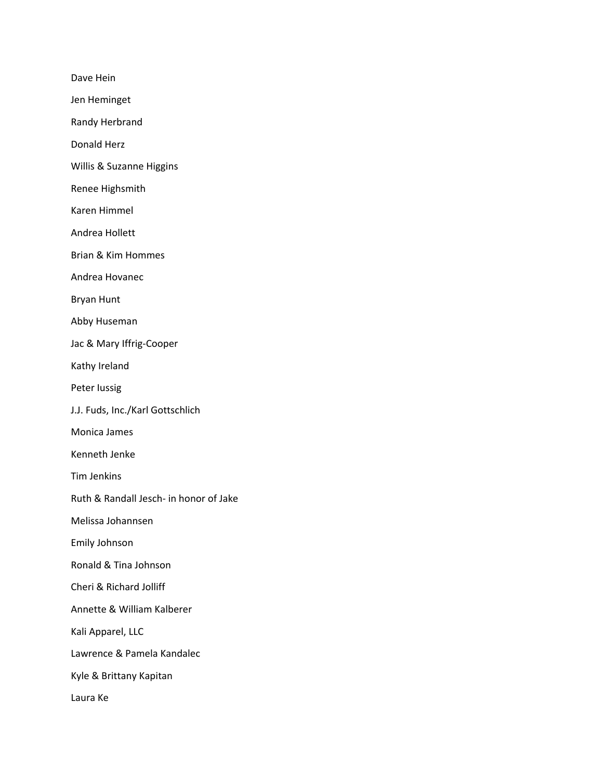Dave Hein

Jen Heminget

Randy Herbrand

Donald Herz

Willis & Suzanne Higgins

Renee Highsmith

Karen Himmel

Andrea Hollett

Brian & Kim Hommes

Andrea Hovanec

Bryan Hunt

Abby Huseman

Jac & Mary Iffrig‐Cooper

Kathy Ireland

Peter Iussig

J.J. Fuds, Inc./Karl Gottschlich

Monica James

Kenneth Jenke

Tim Jenkins

Ruth & Randall Jesch‐ in honor of Jake

Melissa Johannsen

Emily Johnson

Ronald & Tina Johnson

Cheri & Richard Jolliff

Annette & William Kalberer

Kali Apparel, LLC

Lawrence & Pamela Kandalec

Kyle & Brittany Kapitan

Laura Ke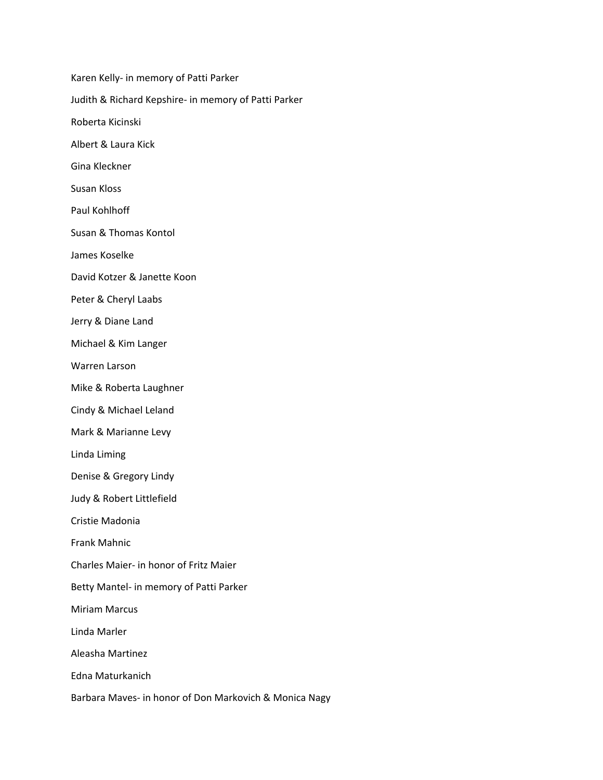Karen Kelly‐ in memory of Patti Parker Judith & Richard Kepshire‐ in memory of Patti Parker Roberta Kicinski Albert & Laura Kick Gina Kleckner Susan Kloss Paul Kohlhoff Susan & Thomas Kontol James Koselke David Kotzer & Janette Koon Peter & Cheryl Laabs Jerry & Diane Land Michael & Kim Langer Warren Larson Mike & Roberta Laughner Cindy & Michael Leland Mark & Marianne Levy Linda Liming Denise & Gregory Lindy Judy & Robert Littlefield Cristie Madonia Frank Mahnic Charles Maier‐ in honor of Fritz Maier Betty Mantel‐ in memory of Patti Parker Miriam Marcus Linda Marler Aleasha Martinez Edna Maturkanich Barbara Maves‐ in honor of Don Markovich & Monica Nagy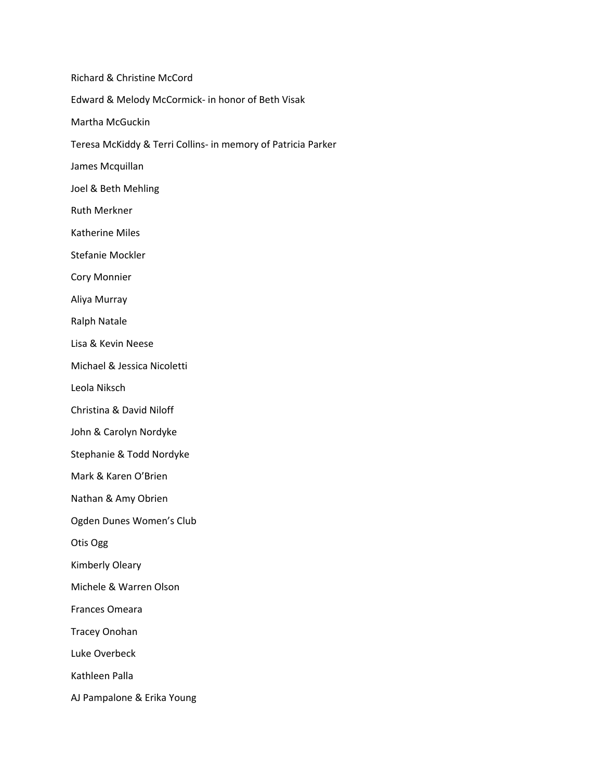Richard & Christine McCord Edward & Melody McCormick‐ in honor of Beth Visak Martha McGuckin Teresa McKiddy & Terri Collins‐ in memory of Patricia Parker James Mcquillan Joel & Beth Mehling Ruth Merkner Katherine Miles Stefanie Mockler Cory Monnier Aliya Murray Ralph Natale Lisa & Kevin Neese Michael & Jessica Nicoletti Leola Niksch Christina & David Niloff John & Carolyn Nordyke Stephanie & Todd Nordyke Mark & Karen O'Brien Nathan & Amy Obrien Ogden Dunes Women's Club Otis Ogg Kimberly Oleary Michele & Warren Olson Frances Omeara Tracey Onohan Luke Overbeck Kathleen Palla AJ Pampalone & Erika Young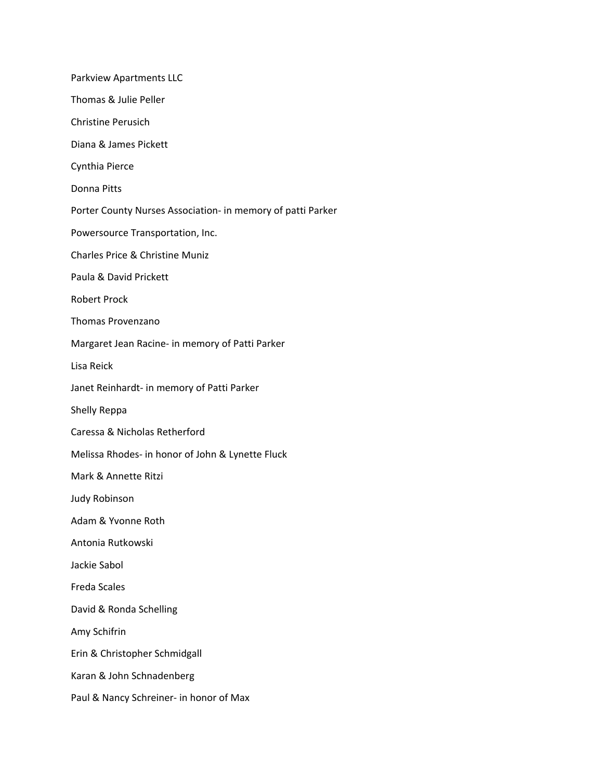Parkview Apartments LLC Thomas & Julie Peller Christine Perusich Diana & James Pickett Cynthia Pierce Donna Pitts Porter County Nurses Association‐ in memory of patti Parker Powersource Transportation, Inc. Charles Price & Christine Muniz Paula & David Prickett Robert Prock Thomas Provenzano Margaret Jean Racine‐ in memory of Patti Parker Lisa Reick Janet Reinhardt‐ in memory of Patti Parker Shelly Reppa Caressa & Nicholas Retherford Melissa Rhodes‐ in honor of John & Lynette Fluck Mark & Annette Ritzi Judy Robinson Adam & Yvonne Roth Antonia Rutkowski Jackie Sabol Freda Scales David & Ronda Schelling Amy Schifrin Erin & Christopher Schmidgall Karan & John Schnadenberg Paul & Nancy Schreiner‐ in honor of Max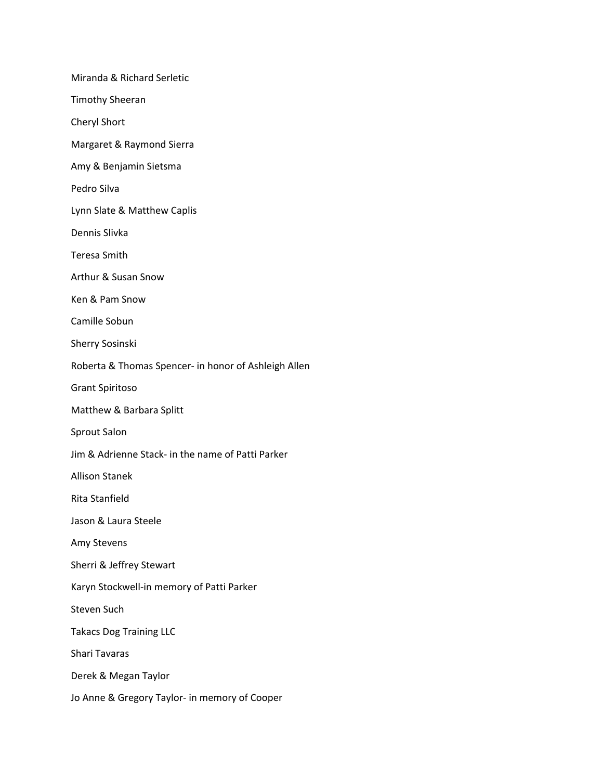Miranda & Richard Serletic Timothy Sheeran Cheryl Short Margaret & Raymond Sierra Amy & Benjamin Sietsma Pedro Silva Lynn Slate & Matthew Caplis Dennis Slivka Teresa Smith Arthur & Susan Snow Ken & Pam Snow Camille Sobun Sherry Sosinski Roberta & Thomas Spencer‐ in honor of Ashleigh Allen Grant Spiritoso Matthew & Barbara Splitt Sprout Salon Jim & Adrienne Stack‐ in the name of Patti Parker Allison Stanek Rita Stanfield Jason & Laura Steele Amy Stevens Sherri & Jeffrey Stewart Karyn Stockwell‐in memory of Patti Parker Steven Such Takacs Dog Training LLC Shari Tavaras Derek & Megan Taylor Jo Anne & Gregory Taylor‐ in memory of Cooper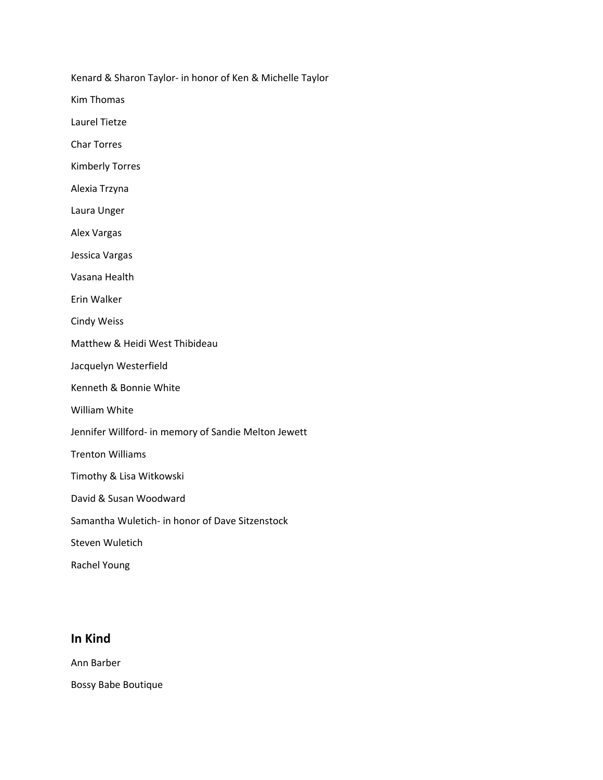Kenard & Sharon Taylor‐ in honor of Ken & Michelle Taylor

Kim Thomas

Laurel Tietze

Char Torres

Kimberly Torres

Alexia Trzyna

Laura Unger

Alex Vargas

Jessica Vargas

Vasana Health

Erin Walker

Cindy Weiss

Matthew & Heidi West Thibideau

Jacquelyn Westerfield

Kenneth & Bonnie White

William White

Jennifer Willford‐ in memory of Sandie Melton Jewett

Trenton Williams

Timothy & Lisa Witkowski

David & Susan Woodward

Samantha Wuletich‐ in honor of Dave Sitzenstock

Steven Wuletich

Rachel Young

## **In Kind**

Ann Barber

Bossy Babe Boutique